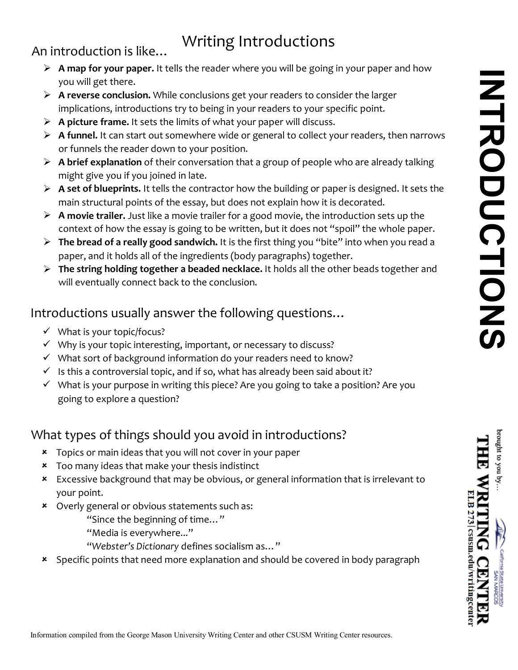nove at the you

ELB 273 | csusm.edu/writingcente:

# Writing Introductions

An introduction is like...

- **A map for your paper.** It tells the reader where you will be going in your paper and how you will get there.
- **A reverse conclusion.** While conclusions get your readers to consider the larger implications, introductions try to being in your readers to your specific point.
- **A picture frame.** It sets the limits of what your paper will discuss.
- **A funnel.** It can start out somewhere wide or general to collect your readers, then narrows or funnels the reader down to your position.
- **A brief explanation** of their conversation that a group of people who are already talking might give you if you joined in late.
- **A set of blueprints.** It tells the contractor how the building or paper is designed. It sets the main structural points of the essay, but does not explain how it is decorated.
- **A movie trailer.** Just like a movie trailer for a good movie, the introduction sets up the context of how the essay is going to be written, but it does not "spoil" the whole paper.
- **The bread of a really good sandwich.** It is the first thing you "bite" into when you read a paper, and it holds all of the ingredients (body paragraphs) together.
- will eventually connect back to the conclusion. **The string holding together a beaded necklace.** It holds all the other beads together and

### Introductions usually answer the following questions…

- $\checkmark$  What is your topic/focus?
- $\checkmark$  Why is your topic interesting, important, or necessary to discuss?
- $\checkmark$  What sort of background information do your readers need to know?
- $\checkmark$  Is this a controversial topic, and if so, what has already been said about it?
- $\checkmark$  What is your purpose in writing this piece? Are you going to take a position? Are you going to explore a question?

## What types of things should you avoid in introductions?

- Topics or main ideas that you will not cover in your paper
- Too many ideas that make your thesis indistinct
- Excessive background that may be obvious, or general information that is irrelevant to your point.
- Overly general or obvious statements such as:

"Since the beginning of time…"

- "Media is everywhere..."
- "*Webster's Dictionary* defines socialism as…"
- \* Specific points that need more explanation and should be covered in body paragraph